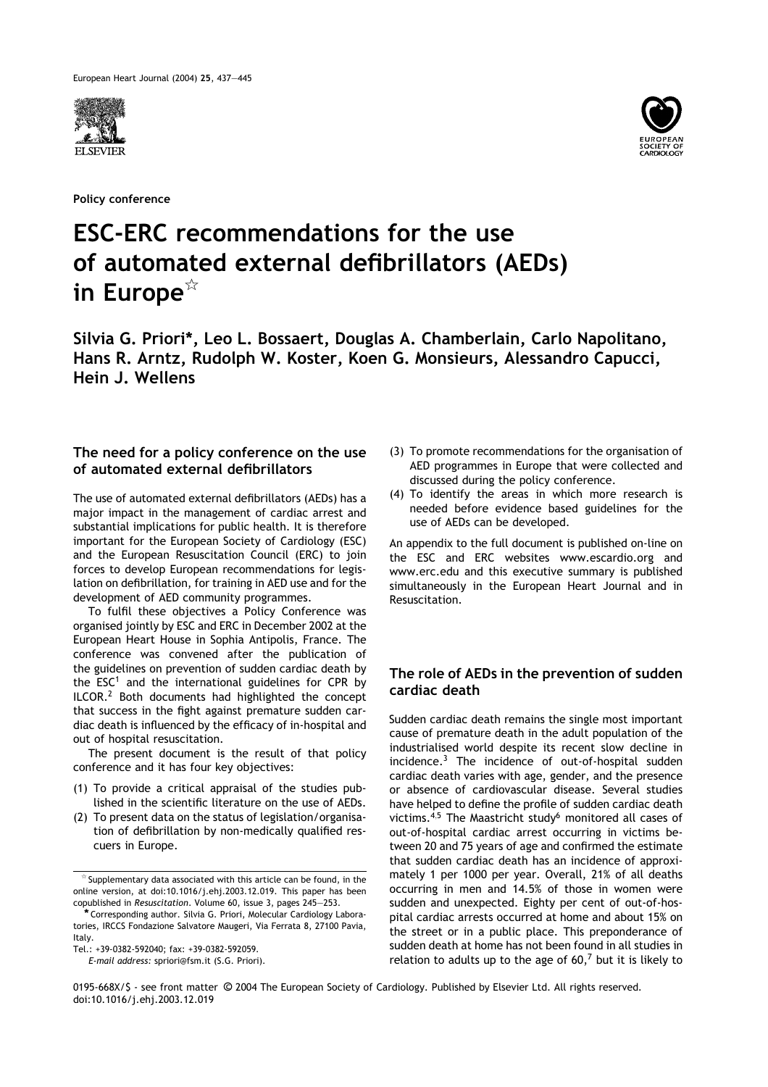European Heart Journal (2004) 25, 437–445



Policy conference



# ESC-ERC recommendations for the use of automated external defibrillators (AEDs) in Europe $\overline{a}$

Silvia G. Priori\*, Leo L. Bossaert, Douglas A. Chamberlain, Carlo Napolitano, Hans R. Arntz, Rudolph W. Koster, Koen G. Monsieurs, Alessandro Capucci, Hein J. Wellens

# The need for a policy conference on the use of automated external defibrillators

The use of automated external defibrillators (AEDs) has a major impact in the management of cardiac arrest and substantial implications for public health. It is therefore important for the European Society of Cardiology (ESC) and the European Resuscitation Council (ERC) to join forces to develop European recommendations for legislation on defibrillation, for training in AED use and for the development of AED community programmes.

To fulfil these objectives a Policy Conference was organised jointly by ESC and ERC in December 2002 at the European Heart House in Sophia Antipolis, France. The conference was convened after the publication of the guidelines on prevention of sudden cardiac death by the  $ESC<sup>1</sup>$  and the international guidelines for CPR by ILCOR.<sup>2</sup> Both documents had highlighted the concept that success in the fight against premature sudden cardiac death is influenced by the efficacy of in-hospital and out of hospital resuscitation.

The present document is the result of that policy conference and it has four key objectives:

- (1) To provide a critical appraisal of the studies published in the scientific literature on the use of AEDs.
- (2) To present data on the status of legislation/organisation of defibrillation by non-medically qualified rescuers in Europe.
- (3) To promote recommendations for the organisation of AED programmes in Europe that were collected and discussed during the policy conference.
- (4) To identify the areas in which more research is needed before evidence based guidelines for the use of AEDs can be developed.

An appendix to the full document is published on-line on the ESC and ERC websites www.escardio.org and www.erc.edu and this executive summary is published simultaneously in the European Heart Journal and in Resuscitation.

# The role of AEDs in the prevention of sudden cardiac death

Sudden cardiac death remains the single most important cause of premature death in the adult population of the industrialised world despite its recent slow decline in incidence.<sup>3</sup> The incidence of out-of-hospital sudden cardiac death varies with age, gender, and the presence or absence of cardiovascular disease. Several studies have helped to define the profile of sudden cardiac death victims.<sup>4,5</sup> The Maastricht study<sup>6</sup> monitored all cases of out-of-hospital cardiac arrest occurring in victims between 20 and 75 years of age and confirmed the estimate that sudden cardiac death has an incidence of approximately 1 per 1000 per year. Overall, 21% of all deaths occurring in men and 14.5% of those in women were sudden and unexpected. Eighty per cent of out-of-hospital cardiac arrests occurred at home and about 15% on the street or in a public place. This preponderance of sudden death at home has not been found in all studies in relation to adults up to the age of  $60<sup>7</sup>$  but it is likely to

0195-668X/\$ - see front matter © 2004 The European Society of Cardiology. Published by Elsevier Ltd. All rights reserved. doi:10.1016/j.ehj.2003.12.019

 $\alpha$  Supplementary data associated with this article can be found, in the online version, at doi:10.1016/j.ehj.2003.12.019. This paper has been copublished in Resuscitation. Volume 60, issue 3, pages 245–253.

<sup>\*</sup> Corresponding author. Silvia G. Priori, Molecular Cardiology Laboratories, IRCCS Fondazione Salvatore Maugeri, Via Ferrata 8, 27100 Pavia, Italy.

Tel.: +39-0382-592040; fax: +39-0382-592059.

E-mail address: spriori@fsm.it (S.G. Priori).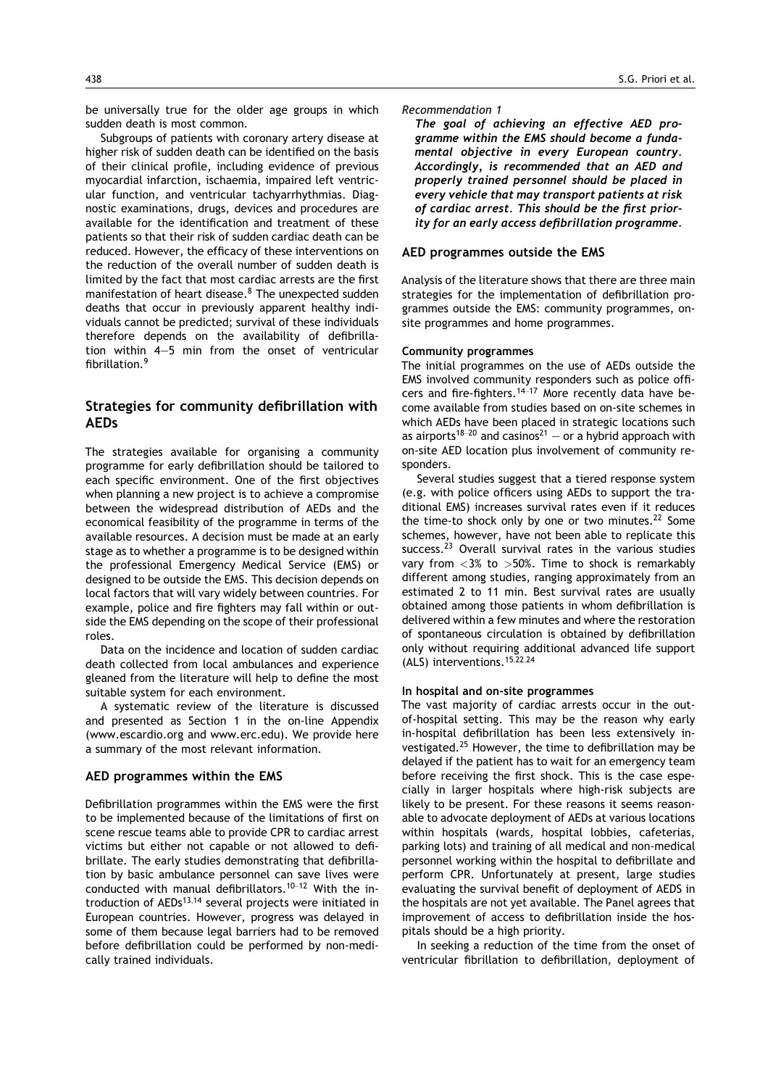be universally true for the older age groups in which sudden death is most common.

Subgroups of patients with coronary artery disease at higher risk of sudden death can be identified on the basis of their clinical profile, including evidence of previous myocardial infarction, ischaemia, impaired left ventricular function, and ventricular tachyarrhythmias. Diagnostic examinations, drugs, devices and procedures are available for the identification and treatment of these patients so that their risk of sudden cardiac death can be reduced. However, the efficacy of these interventions on the reduction of the overall number of sudden death is limited by the fact that most cardiac arrests are the first manifestation of heart disease.8 The unexpected sudden deaths that occur in previously apparent healthy individuals cannot be predicted; survival of these individuals therefore depends on the availability of defibrillation within 4–5 min from the onset of ventricular fibrillation.<sup>9</sup>

# Strategies for community defibrillation with AEDs

The strategies available for organising a community programme for early defibrillation should be tailored to each specific environment. One of the first objectives when planning a new project is to achieve a compromise between the widespread distribution of AEDs and the economical feasibility of the programme in terms of the available resources. A decision must be made at an early stage as to whether a programme is to be designed within the professional Emergency Medical Service (EMS) or designed to be outside the EMS. This decision depends on local factors that will vary widely between countries. For example, police and fire fighters may fall within or outside the EMS depending on the scope of their professional roles.

Data on the incidence and location of sudden cardiac death collected from local ambulances and experience gleaned from the literature will help to define the most suitable system for each environment.

A systematic review of the literature is discussed and presented as Section 1 in the on-line Appendix (www.escardio.org and www.erc.edu). We provide here a summary of the most relevant information.

# AED programmes within the EMS

Defibrillation programmes within the EMS were the first to be implemented because of the limitations of first on scene rescue teams able to provide CPR to cardiac arrest victims but either not capable or not allowed to defibrillate. The early studies demonstrating that defibrillation by basic ambulance personnel can save lives were conducted with manual defibrillators.<sup>10</sup>–<sup>12</sup> With the introduction of AEDs<sup>13,14</sup> several projects were initiated in European countries. However, progress was delayed in some of them because legal barriers had to be removed before defibrillation could be performed by non-medically trained individuals.

### Recommendation 1

The goal of achieving an effective AED programme within the EMS should become a fundamental objective in every European country. Accordingly, is recommended that an AED and properly trained personnel should be placed in every vehicle that may transport patients at risk of cardiac arrest. This should be the first priority for an early access defibrillation programme.

# AED programmes outside the EMS

Analysis of the literature shows that there are three main strategies for the implementation of defibrillation programmes outside the EMS: community programmes, onsite programmes and home programmes.

### Community programmes

The initial programmes on the use of AEDs outside the EMS involved community responders such as police officers and fire-fighters.<sup>14–17</sup> More recently data have become available from studies based on on-site schemes in which AEDs have been placed in strategic locations such as airports<sup>18–20</sup> and casinos<sup>21</sup> – or a hybrid approach with on-site AED location plus involvement of community responders.

Several studies suggest that a tiered response system (e.g. with police officers using AEDs to support the traditional EMS) increases survival rates even if it reduces the time-to shock only by one or two minutes. $^{22}$  Some schemes, however, have not been able to replicate this success.<sup>23</sup> Overall survival rates in the various studies vary from  $<$ 3% to  $>$ 50%. Time to shock is remarkably different among studies, ranging approximately from an estimated 2 to 11 min. Best survival rates are usually obtained among those patients in whom defibrillation is delivered within a few minutes and where the restoration of spontaneous circulation is obtained by defibrillation only without requiring additional advanced life support (ALS) interventions.<sup>15</sup>;22;<sup>24</sup>

### In hospital and on-site programmes

The vast majority of cardiac arrests occur in the outof-hospital setting. This may be the reason why early in-hospital defibrillation has been less extensively investigated.<sup>25</sup> However, the time to defibrillation may be delayed if the patient has to wait for an emergency team before receiving the first shock. This is the case especially in larger hospitals where high-risk subjects are likely to be present. For these reasons it seems reasonable to advocate deployment of AEDs at various locations within hospitals (wards, hospital lobbies, cafeterias, parking lots) and training of all medical and non-medical personnel working within the hospital to defibrillate and perform CPR. Unfortunately at present, large studies evaluating the survival benefit of deployment of AEDS in the hospitals are not yet available. The Panel agrees that improvement of access to defibrillation inside the hospitals should be a high priority.

In seeking a reduction of the time from the onset of ventricular fibrillation to defibrillation, deployment of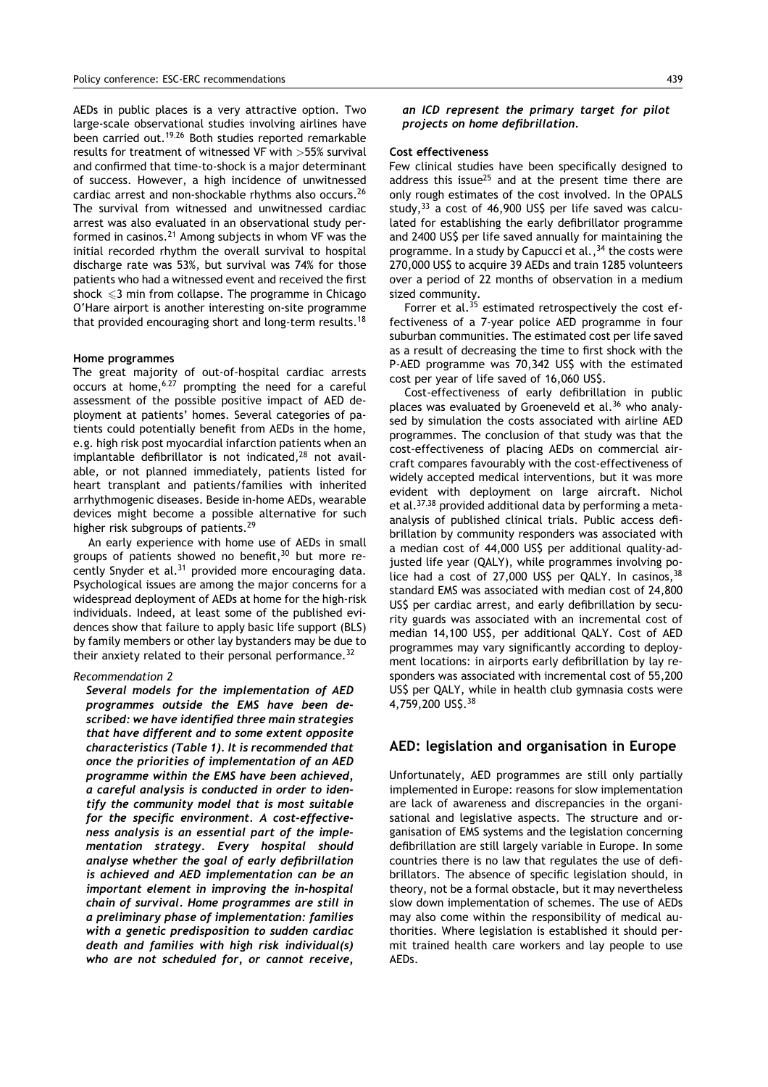AEDs in public places is a very attractive option. Two large-scale observational studies involving airlines have been carried out.19;<sup>26</sup> Both studies reported remarkable results for treatment of witnessed VF with >55% survival and confirmed that time-to-shock is a major determinant of success. However, a high incidence of unwitnessed cardiac arrest and non-shockable rhythms also occurs.<sup>26</sup> The survival from witnessed and unwitnessed cardiac arrest was also evaluated in an observational study performed in casinos.<sup>21</sup> Among subjects in whom VF was the initial recorded rhythm the overall survival to hospital discharge rate was 53%, but survival was 74% for those patients who had a witnessed event and received the first shock  $\leq$ 3 min from collapse. The programme in Chicago O'Hare airport is another interesting on-site programme that provided encouraging short and long-term results.<sup>18</sup>

# Home programmes

The great majority of out-of-hospital cardiac arrests occurs at home,  $6.27$  prompting the need for a careful assessment of the possible positive impact of AED deployment at patients' homes. Several categories of patients could potentially benefit from AEDs in the home, e.g. high risk post myocardial infarction patients when an implantable defibrillator is not indicated, $^{28}$  not available, or not planned immediately, patients listed for heart transplant and patients/families with inherited arrhythmogenic diseases. Beside in-home AEDs, wearable devices might become a possible alternative for such higher risk subgroups of patients.<sup>29</sup>

An early experience with home use of AEDs in small groups of patients showed no benefit,  $30$  but more recently Snyder et al.<sup>31</sup> provided more encouraging data. Psychological issues are among the major concerns for a widespread deployment of AEDs at home for the high-risk individuals. Indeed, at least some of the published evidences show that failure to apply basic life support (BLS) by family members or other lay bystanders may be due to their anxiety related to their personal performance. $32$ 

### Recommendation 2

Several models for the implementation of AED programmes outside the EMS have been described: we have identified three main strategies that have different and to some extent opposite characteristics (Table 1). It is recommended that once the priorities of implementation of an AED programme within the EMS have been achieved, a careful analysis is conducted in order to identify the community model that is most suitable for the specific environment. A cost-effectiveness analysis is an essential part of the implementation strategy. Every hospital should analyse whether the goal of early defibrillation is achieved and AED implementation can be an important element in improving the in-hospital chain of survival. Home programmes are still in a preliminary phase of implementation: families with a genetic predisposition to sudden cardiac death and families with high risk individual(s) who are not scheduled for, or cannot receive,

an ICD represent the primary target for pilot projects on home defibrillation.

# Cost effectiveness

Few clinical studies have been specifically designed to address this issue<sup>25</sup> and at the present time there are only rough estimates of the cost involved. In the OPALS study,  $33$  a cost of 46,900 US\$ per life saved was calculated for establishing the early defibrillator programme and 2400 US\$ per life saved annually for maintaining the programme. In a study by Capucci et al., <sup>34</sup> the costs were 270,000 US\$ to acquire 39 AEDs and train 1285 volunteers over a period of 22 months of observation in a medium sized community.

Forrer et al. $35$  estimated retrospectively the cost effectiveness of a 7-year police AED programme in four suburban communities. The estimated cost per life saved as a result of decreasing the time to first shock with the P-AED programme was 70,342 US\$ with the estimated cost per year of life saved of 16,060 US\$.

Cost-effectiveness of early defibrillation in public places was evaluated by Groeneveld et al.<sup>36</sup> who analysed by simulation the costs associated with airline AED programmes. The conclusion of that study was that the cost-effectiveness of placing AEDs on commercial aircraft compares favourably with the cost-effectiveness of widely accepted medical interventions, but it was more evident with deployment on large aircraft. Nichol et al.<sup>37,38</sup> provided additional data by performing a metaanalysis of published clinical trials. Public access defibrillation by community responders was associated with a median cost of 44,000 US\$ per additional quality-adjusted life year (QALY), while programmes involving police had a cost of 27,000 US\$ per QALY. In casinos,  $38$ standard EMS was associated with median cost of 24,800 US\$ per cardiac arrest, and early defibrillation by security guards was associated with an incremental cost of median 14,100 US\$, per additional QALY. Cost of AED programmes may vary significantly according to deployment locations: in airports early defibrillation by lay responders was associated with incremental cost of 55,200 US\$ per QALY, while in health club gymnasia costs were 4,759,200 US\$.<sup>38</sup>

# AED: legislation and organisation in Europe

Unfortunately, AED programmes are still only partially implemented in Europe: reasons for slow implementation are lack of awareness and discrepancies in the organisational and legislative aspects. The structure and organisation of EMS systems and the legislation concerning defibrillation are still largely variable in Europe. In some countries there is no law that regulates the use of defibrillators. The absence of specific legislation should, in theory, not be a formal obstacle, but it may nevertheless slow down implementation of schemes. The use of AEDs may also come within the responsibility of medical authorities. Where legislation is established it should permit trained health care workers and lay people to use AEDs.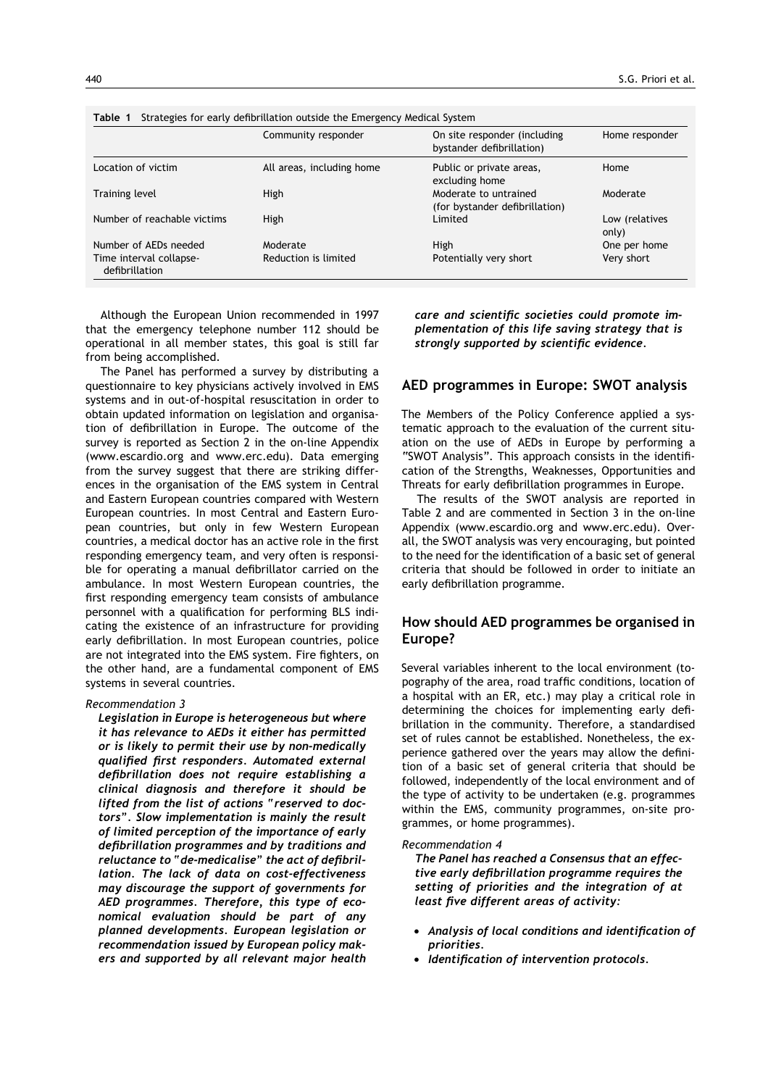|                                           | Community responder       | On site responder (including<br>bystander defibrillation) | Home responder          |
|-------------------------------------------|---------------------------|-----------------------------------------------------------|-------------------------|
| Location of victim                        | All areas, including home | Public or private areas,<br>excluding home                | Home                    |
| Training level                            | High                      | Moderate to untrained<br>(for bystander defibrillation)   | Moderate                |
| Number of reachable victims               | High                      | Limited                                                   | Low (relatives<br>only) |
| Number of AFDs needed                     | Moderate                  | High                                                      | One per home            |
| Time interval collapse-<br>defibrillation | Reduction is limited      | Potentially very short                                    | Very short              |

Table 1 Strategies for early defibrillation outside the Emergency Medical System

Although the European Union recommended in 1997 that the emergency telephone number 112 should be operational in all member states, this goal is still far from being accomplished.

The Panel has performed a survey by distributing a questionnaire to key physicians actively involved in EMS systems and in out-of-hospital resuscitation in order to obtain updated information on legislation and organisation of defibrillation in Europe. The outcome of the survey is reported as Section 2 in the on-line Appendix (www.escardio.org and www.erc.edu). Data emerging from the survey suggest that there are striking differences in the organisation of the EMS system in Central and Eastern European countries compared with Western European countries. In most Central and Eastern European countries, but only in few Western European countries, a medical doctor has an active role in the first responding emergency team, and very often is responsible for operating a manual defibrillator carried on the ambulance. In most Western European countries, the first responding emergency team consists of ambulance personnel with a qualification for performing BLS indicating the existence of an infrastructure for providing early defibrillation. In most European countries, police are not integrated into the EMS system. Fire fighters, on the other hand, are a fundamental component of EMS systems in several countries.

### Recommendation 3

Legislation in Europe is heterogeneous but where it has relevance to AEDs it either has permitted or is likely to permit their use by non-medically qualified first responders. Automated external defibrillation does not require establishing a clinical diagnosis and therefore it should be lifted from the list of actions "reserved to doctors". Slow implementation is mainly the result of limited perception of the importance of early defibrillation programmes and by traditions and reluctance to "de-medicalise" the act of defibrillation. The lack of data on cost-effectiveness may discourage the support of governments for AED programmes. Therefore, this type of economical evaluation should be part of any planned developments. European legislation or recommendation issued by European policy makers and supported by all relevant major health

care and scientific societies could promote implementation of this life saving strategy that is strongly supported by scientific evidence.

# AED programmes in Europe: SWOT analysis

The Members of the Policy Conference applied a systematic approach to the evaluation of the current situation on the use of AEDs in Europe by performing a "SWOT Analysis". This approach consists in the identification of the Strengths, Weaknesses, Opportunities and Threats for early defibrillation programmes in Europe.

The results of the SWOT analysis are reported in Table 2 and are commented in Section 3 in the on-line Appendix (www.escardio.org and www.erc.edu). Overall, the SWOT analysis was very encouraging, but pointed to the need for the identification of a basic set of general criteria that should be followed in order to initiate an early defibrillation programme.

# How should AED programmes be organised in Europe?

Several variables inherent to the local environment (topography of the area, road traffic conditions, location of a hospital with an ER, etc.) may play a critical role in determining the choices for implementing early defibrillation in the community. Therefore, a standardised set of rules cannot be established. Nonetheless, the experience gathered over the years may allow the definition of a basic set of general criteria that should be followed, independently of the local environment and of the type of activity to be undertaken (e.g. programmes within the EMS, community programmes, on-site programmes, or home programmes).

### Recommendation 4

The Panel has reached a Consensus that an effective early defibrillation programme requires the setting of priorities and the integration of at least five different areas of activity:

- Analysis of local conditions and identification of priorities.
- Identification of intervention protocols.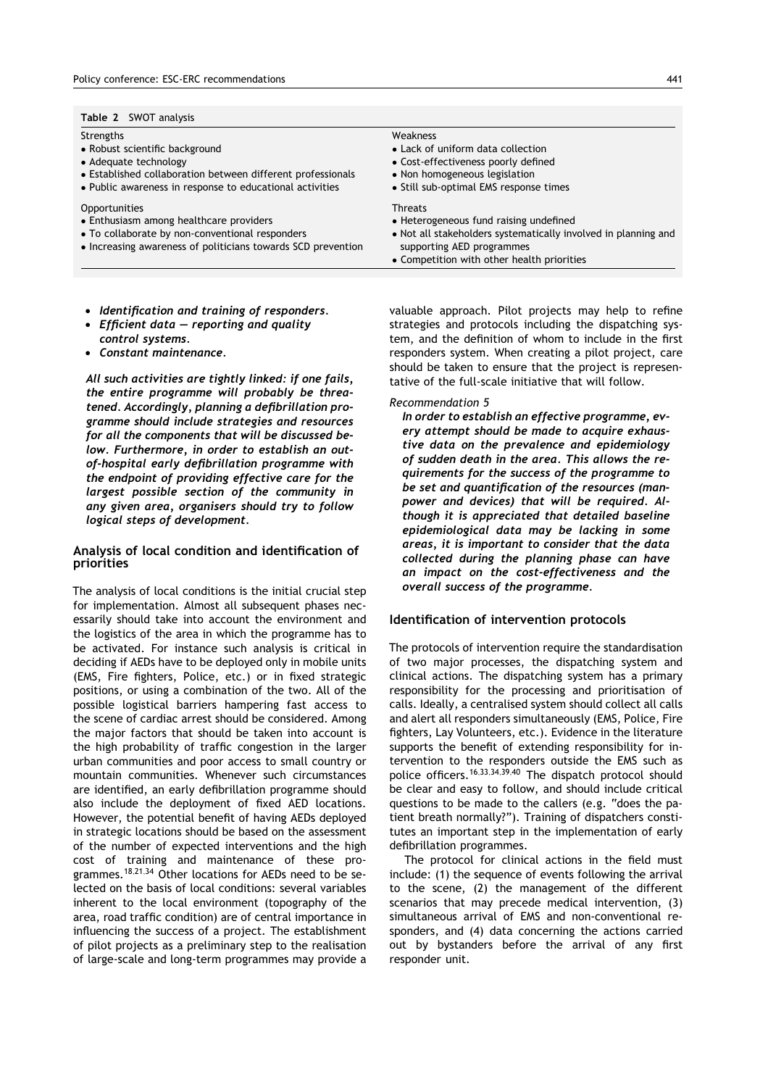### Table 2 SWOT analysis

Strengths Weakness

- Robust scientific background -
- Adequate technology The contract of the contract of the contract of the contract of the contract of the contract of the contract of the contract of the contract of the contract of the contract of the contract of the co
- $\bullet$  Established collaboration between different professionals  $\bullet$
- Public awareness in response to educational activities •••••••••••••••••••••••

### Opportunities **Threats**

- Enthusiasm among healthcare providers The state of the state of the state of  $\bullet$
- To collaborate by non-conventional responders
- Increasing awareness of politicians towards SCD prevention
- Identification and training of responders.
- **Efficient data reporting and quality** control systems.
- Constant maintenance.

All such activities are tightly linked: if one fails, the entire programme will probably be threatened. Accordingly, planning a defibrillation programme should include strategies and resources for all the components that will be discussed below. Furthermore, in order to establish an outof-hospital early defibrillation programme with the endpoint of providing effective care for the largest possible section of the community in any given area, organisers should try to follow logical steps of development.

# Analysis of local condition and identification of priorities

The analysis of local conditions is the initial crucial step for implementation. Almost all subsequent phases necessarily should take into account the environment and the logistics of the area in which the programme has to be activated. For instance such analysis is critical in deciding if AEDs have to be deployed only in mobile units (EMS, Fire fighters, Police, etc.) or in fixed strategic positions, or using a combination of the two. All of the possible logistical barriers hampering fast access to the scene of cardiac arrest should be considered. Among the major factors that should be taken into account is the high probability of traffic congestion in the larger urban communities and poor access to small country or mountain communities. Whenever such circumstances are identified, an early defibrillation programme should also include the deployment of fixed AED locations. However, the potential benefit of having AEDs deployed in strategic locations should be based on the assessment of the number of expected interventions and the high cost of training and maintenance of these programmes.18;21;<sup>34</sup> Other locations for AEDs need to be selected on the basis of local conditions: several variables inherent to the local environment (topography of the area, road traffic condition) are of central importance in influencing the success of a project. The establishment of pilot projects as a preliminary step to the realisation of large-scale and long-term programmes may provide a

- Lack of uniform data collection
- Cost-effectiveness poorly defined
- Non homogeneous legislation
- Still sub-optimal EMS response times

- Heterogeneous fund raising undefined
- Not all stakeholders systematically involved in planning and supporting AED programmes
- Competition with other health priorities

valuable approach. Pilot projects may help to refine strategies and protocols including the dispatching system, and the definition of whom to include in the first responders system. When creating a pilot project, care should be taken to ensure that the project is representative of the full-scale initiative that will follow.

# Recommendation 5

In order to establish an effective programme, every attempt should be made to acquire exhaustive data on the prevalence and epidemiology of sudden death in the area. This allows the requirements for the success of the programme to be set and quantification of the resources (manpower and devices) that will be required. Although it is appreciated that detailed baseline epidemiological data may be lacking in some areas, it is important to consider that the data collected during the planning phase can have an impact on the cost-effectiveness and the overall success of the programme.

# Identification of intervention protocols

The protocols of intervention require the standardisation of two major processes, the dispatching system and clinical actions. The dispatching system has a primary responsibility for the processing and prioritisation of calls. Ideally, a centralised system should collect all calls and alert all responders simultaneously (EMS, Police, Fire fighters, Lay Volunteers, etc.). Evidence in the literature supports the benefit of extending responsibility for intervention to the responders outside the EMS such as police officers.<sup>16,33,34,39,40</sup> The dispatch protocol should be clear and easy to follow, and should include critical questions to be made to the callers (e.g. "does the patient breath normally?"). Training of dispatchers constitutes an important step in the implementation of early defibrillation programmes.

The protocol for clinical actions in the field must include: (1) the sequence of events following the arrival to the scene, (2) the management of the different scenarios that may precede medical intervention, (3) simultaneous arrival of EMS and non-conventional responders, and (4) data concerning the actions carried out by bystanders before the arrival of any first responder unit.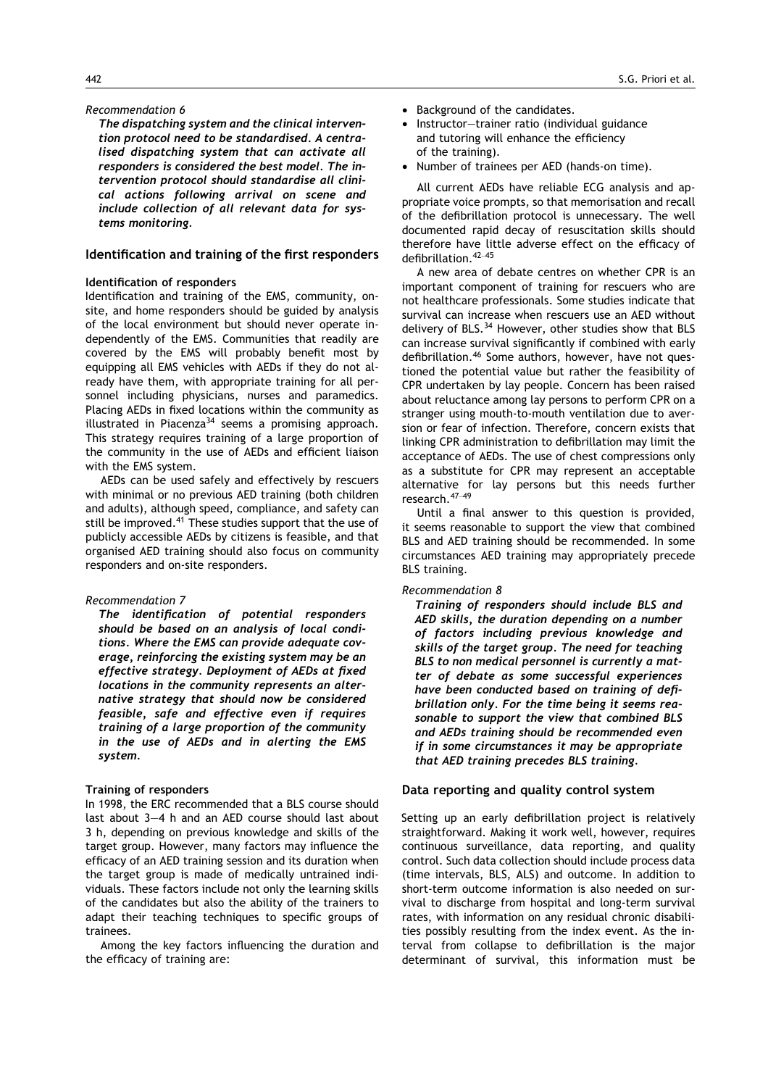# Recommendation 6

The dispatching system and the clinical intervention protocol need to be standardised. A centralised dispatching system that can activate all responders is considered the best model. The intervention protocol should standardise all clinical actions following arrival on scene and include collection of all relevant data for systems monitoring.

# Identification and training of the first responders

# Identification of responders

Identification and training of the EMS, community, onsite, and home responders should be guided by analysis of the local environment but should never operate independently of the EMS. Communities that readily are covered by the EMS will probably benefit most by equipping all EMS vehicles with AEDs if they do not already have them, with appropriate training for all personnel including physicians, nurses and paramedics. Placing AEDs in fixed locations within the community as illustrated in Piacenza<sup>34</sup> seems a promising approach. This strategy requires training of a large proportion of the community in the use of AEDs and efficient liaison with the EMS system.

AEDs can be used safely and effectively by rescuers with minimal or no previous AED training (both children and adults), although speed, compliance, and safety can still be improved.<sup>41</sup> These studies support that the use of publicly accessible AEDs by citizens is feasible, and that organised AED training should also focus on community responders and on-site responders.

# Recommendation 7

The identification of potential responders should be based on an analysis of local conditions. Where the EMS can provide adequate coverage, reinforcing the existing system may be an effective strategy. Deployment of AEDs at fixed locations in the community represents an alternative strategy that should now be considered feasible, safe and effective even if requires training of a large proportion of the community in the use of AEDs and in alerting the EMS system.

# Training of responders

In 1998, the ERC recommended that a BLS course should last about 3–4 h and an AED course should last about 3 h, depending on previous knowledge and skills of the target group. However, many factors may influence the efficacy of an AED training session and its duration when the target group is made of medically untrained individuals. These factors include not only the learning skills of the candidates but also the ability of the trainers to adapt their teaching techniques to specific groups of trainees.

Among the key factors influencing the duration and the efficacy of training are:

- 442 S.G. Priori et al.
	- Background of the candidates.
	- Instructor–trainer ratio (individual guidance and tutoring will enhance the efficiency of the training).
	- Number of trainees per AED (hands-on time).

All current AEDs have reliable ECG analysis and appropriate voice prompts, so that memorisation and recall of the defibrillation protocol is unnecessary. The well documented rapid decay of resuscitation skills should therefore have little adverse effect on the efficacy of defibrillation.<sup>42</sup>–<sup>45</sup>

A new area of debate centres on whether CPR is an important component of training for rescuers who are not healthcare professionals. Some studies indicate that survival can increase when rescuers use an AED without delivery of BLS.<sup>34</sup> However, other studies show that BLS can increase survival significantly if combined with early defibrillation.<sup>46</sup> Some authors, however, have not questioned the potential value but rather the feasibility of CPR undertaken by lay people. Concern has been raised about reluctance among lay persons to perform CPR on a stranger using mouth-to-mouth ventilation due to aversion or fear of infection. Therefore, concern exists that linking CPR administration to defibrillation may limit the acceptance of AEDs. The use of chest compressions only as a substitute for CPR may represent an acceptable alternative for lay persons but this needs further research.<sup>47</sup>–<sup>49</sup>

Until a final answer to this question is provided, it seems reasonable to support the view that combined BLS and AED training should be recommended. In some circumstances AED training may appropriately precede BLS training.

# Recommendation 8

Training of responders should include BLS and AED skills, the duration depending on a number of factors including previous knowledge and skills of the target group. The need for teaching BLS to non medical personnel is currently a matter of debate as some successful experiences have been conducted based on training of defibrillation only. For the time being it seems reasonable to support the view that combined BLS and AEDs training should be recommended even if in some circumstances it may be appropriate that AED training precedes BLS training.

# Data reporting and quality control system

Setting up an early defibrillation project is relatively straightforward. Making it work well, however, requires continuous surveillance, data reporting, and quality control. Such data collection should include process data (time intervals, BLS, ALS) and outcome. In addition to short-term outcome information is also needed on survival to discharge from hospital and long-term survival rates, with information on any residual chronic disabilities possibly resulting from the index event. As the interval from collapse to defibrillation is the major determinant of survival, this information must be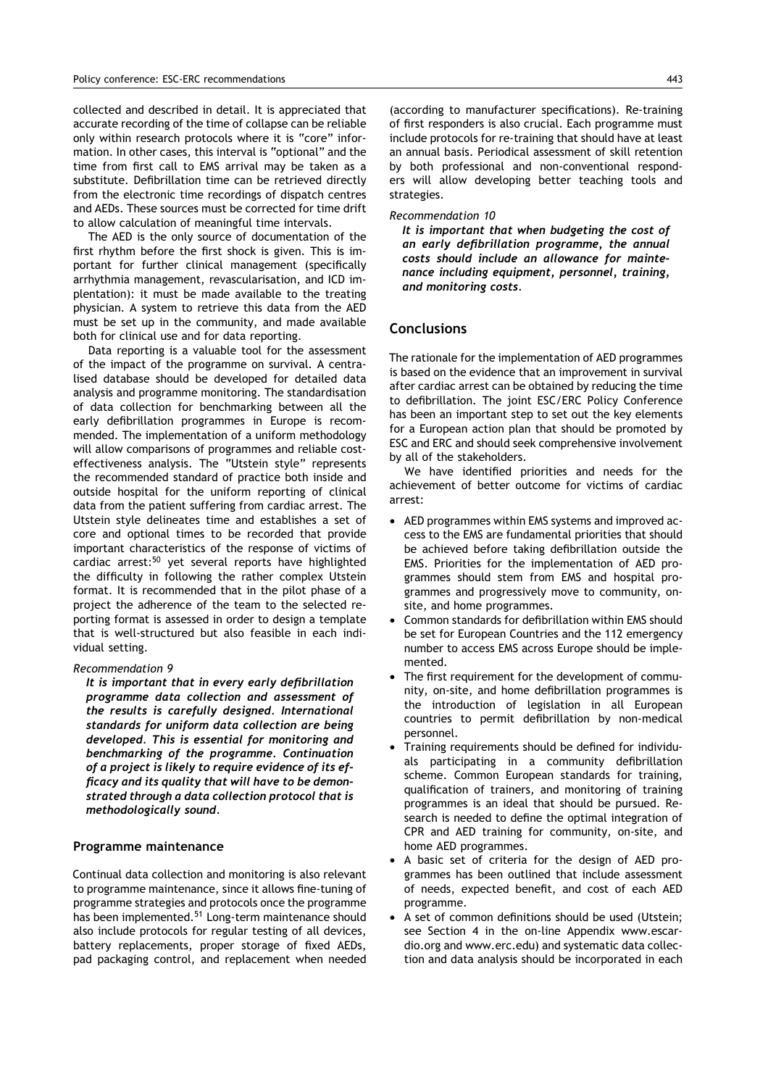collected and described in detail. It is appreciated that accurate recording of the time of collapse can be reliable only within research protocols where it is "core" information. In other cases, this interval is "optional" and the time from first call to EMS arrival may be taken as a substitute. Defibrillation time can be retrieved directly from the electronic time recordings of dispatch centres and AEDs. These sources must be corrected for time drift to allow calculation of meaningful time intervals.

The AED is the only source of documentation of the first rhythm before the first shock is given. This is important for further clinical management (specifically arrhythmia management, revascularisation, and ICD implentation): it must be made available to the treating physician. A system to retrieve this data from the AED must be set up in the community, and made available both for clinical use and for data reporting.

Data reporting is a valuable tool for the assessment of the impact of the programme on survival. A centralised database should be developed for detailed data analysis and programme monitoring. The standardisation of data collection for benchmarking between all the early defibrillation programmes in Europe is recommended. The implementation of a uniform methodology will allow comparisons of programmes and reliable costeffectiveness analysis. The "Utstein style" represents the recommended standard of practice both inside and outside hospital for the uniform reporting of clinical data from the patient suffering from cardiac arrest. The Utstein style delineates time and establishes a set of core and optional times to be recorded that provide important characteristics of the response of victims of cardiac arrest:<sup>50</sup> yet several reports have highlighted the difficulty in following the rather complex Utstein format. It is recommended that in the pilot phase of a project the adherence of the team to the selected reporting format is assessed in order to design a template that is well-structured but also feasible in each individual setting.

### Recommendation 9

It is important that in every early defibrillation programme data collection and assessment of the results is carefully designed. International standards for uniform data collection are being developed. This is essential for monitoring and benchmarking of the programme. Continuation of a project is likely to require evidence of its efficacy and its quality that will have to be demonstrated through a data collection protocol that is methodologically sound.

# Programme maintenance

Continual data collection and monitoring is also relevant to programme maintenance, since it allows fine-tuning of programme strategies and protocols once the programme has been implemented.<sup>51</sup> Long-term maintenance should also include protocols for regular testing of all devices, battery replacements, proper storage of fixed AEDs, pad packaging control, and replacement when needed (according to manufacturer specifications). Re-training of first responders is also crucial. Each programme must include protocols for re-training that should have at least an annual basis. Periodical assessment of skill retention by both professional and non-conventional responders will allow developing better teaching tools and strategies.

### Recommendation 10

It is important that when budgeting the cost of an early defibrillation programme, the annual costs should include an allowance for maintenance including equipment, personnel, training, and monitoring costs.

# **Conclusions**

The rationale for the implementation of AED programmes is based on the evidence that an improvement in survival after cardiac arrest can be obtained by reducing the time to defibrillation. The joint ESC/ERC Policy Conference has been an important step to set out the key elements for a European action plan that should be promoted by ESC and ERC and should seek comprehensive involvement by all of the stakeholders.

We have identified priorities and needs for the achievement of better outcome for victims of cardiac arrest:

- AED programmes within EMS systems and improved access to the EMS are fundamental priorities that should be achieved before taking defibrillation outside the EMS. Priorities for the implementation of AED programmes should stem from EMS and hospital programmes and progressively move to community, onsite, and home programmes.
- Common standards for defibrillation within EMS should be set for European Countries and the 112 emergency number to access EMS across Europe should be implemented.
- The first requirement for the development of community, on-site, and home defibrillation programmes is the introduction of legislation in all European countries to permit defibrillation by non-medical personnel.
- Training requirements should be defined for individuals participating in a community defibrillation scheme. Common European standards for training, qualification of trainers, and monitoring of training programmes is an ideal that should be pursued. Research is needed to define the optimal integration of CPR and AED training for community, on-site, and home AED programmes.
- A basic set of criteria for the design of AED programmes has been outlined that include assessment of needs, expected benefit, and cost of each AED programme.
- A set of common definitions should be used (Utstein; see Section 4 in the on-line Appendix www.escardio.org and www.erc.edu) and systematic data collection and data analysis should be incorporated in each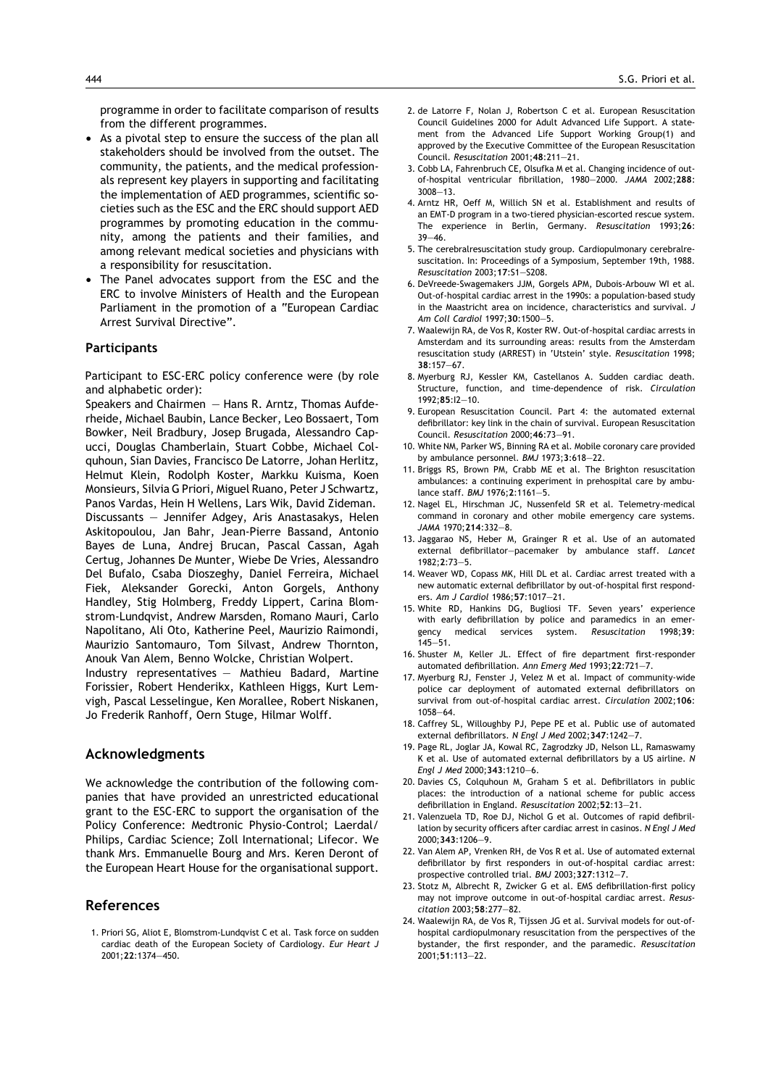programme in order to facilitate comparison of results from the different programmes.

- As a pivotal step to ensure the success of the plan all stakeholders should be involved from the outset. The community, the patients, and the medical professionals represent key players in supporting and facilitating the implementation of AED programmes, scientific societies such as the ESC and the ERC should support AED programmes by promoting education in the community, among the patients and their families, and among relevant medical societies and physicians with a responsibility for resuscitation.
- The Panel advocates support from the ESC and the ERC to involve Ministers of Health and the European Parliament in the promotion of a "European Cardiac Arrest Survival Directive".

# **Participants**

Participant to ESC-ERC policy conference were (by role and alphabetic order):

Speakers and Chairmen – Hans R. Arntz, Thomas Aufderheide, Michael Baubin, Lance Becker, Leo Bossaert, Tom Bowker, Neil Bradbury, Josep Brugada, Alessandro Capucci, Douglas Chamberlain, Stuart Cobbe, Michael Colquhoun, Sian Davies, Francisco De Latorre, Johan Herlitz, Helmut Klein, Rodolph Koster, Markku Kuisma, Koen Monsieurs, Silvia G Priori, Miguel Ruano, Peter J Schwartz, Panos Vardas, Hein H Wellens, Lars Wik, David Zideman. Discussants – Jennifer Adgey, Aris Anastasakys, Helen Askitopoulou, Jan Bahr, Jean-Pierre Bassand, Antonio Bayes de Luna, Andrej Brucan, Pascal Cassan, Agah Certug, Johannes De Munter, Wiebe De Vries, Alessandro Del Bufalo, Csaba Dioszeghy, Daniel Ferreira, Michael Fiek, Aleksander Gorecki, Anton Gorgels, Anthony Handley, Stig Holmberg, Freddy Lippert, Carina Blomstrom-Lundqvist, Andrew Marsden, Romano Mauri, Carlo Napolitano, Ali Oto, Katherine Peel, Maurizio Raimondi, Maurizio Santomauro, Tom Silvast, Andrew Thornton, Anouk Van Alem, Benno Wolcke, Christian Wolpert. Industry representatives – Mathieu Badard, Martine Forissier, Robert Henderikx, Kathleen Higgs, Kurt Lemvigh, Pascal Lesselingue, Ken Morallee, Robert Niskanen, Jo Frederik Ranhoff, Oern Stuge, Hilmar Wolff.

# Acknowledgments

We acknowledge the contribution of the following companies that have provided an unrestricted educational grant to the ESC-ERC to support the organisation of the Policy Conference: Medtronic Physio-Control; Laerdal/ Philips, Cardiac Science; Zoll International; Lifecor. We thank Mrs. Emmanuelle Bourg and Mrs. Keren Deront of the European Heart House for the organisational support.

# References

1. Priori SG, Aliot E, Blomstrom-Lundqvist C et al. Task force on sudden cardiac death of the European Society of Cardiology. Eur Heart J 2001;22:1374–450.

- 2. de Latorre F, Nolan J, Robertson C et al. European Resuscitation Council Guidelines 2000 for Adult Advanced Life Support. A statement from the Advanced Life Support Working Group(1) and approved by the Executive Committee of the European Resuscitation Council. Resuscitation 2001;48:211–21.
- 3. Cobb LA, Fahrenbruch CE, Olsufka M et al. Changing incidence of outof-hospital ventricular fibrillation, 1980–2000. JAMA 2002;288: 3008–13.
- 4. Arntz HR, Oeff M, Willich SN et al. Establishment and results of an EMT-D program in a two-tiered physician-escorted rescue system. The experience in Berlin, Germany. Resuscitation 1993;26: 39–46.
- 5. The cerebralresuscitation study group. Cardiopulmonary cerebralresuscitation. In: Proceedings of a Symposium, September 19th, 1988. Resuscitation 2003;17:S1–S208.
- 6. DeVreede-Swagemakers JJM, Gorgels APM, Dubois-Arbouw WI et al. Out-of-hospital cardiac arrest in the 1990s: a population-based study in the Maastricht area on incidence, characteristics and survival. J Am Coll Cardiol 1997;30:1500–5.
- 7. Waalewijn RA, de Vos R, Koster RW. Out-of-hospital cardiac arrests in Amsterdam and its surrounding areas: results from the Amsterdam resuscitation study (ARREST) in 'Utstein' style. Resuscitation 1998; 38:157–67.
- 8. Myerburg RJ, Kessler KM, Castellanos A. Sudden cardiac death. Structure, function, and time-dependence of risk. Circulation 1992;85:I2–10.
- 9. European Resuscitation Council. Part 4: the automated external defibrillator: key link in the chain of survival. European Resuscitation Council. Resuscitation 2000;46:73–91.
- 10. White NM, Parker WS, Binning RA et al. Mobile coronary care provided by ambulance personnel. BMJ 1973;3:618–22.
- 11. Briggs RS, Brown PM, Crabb ME et al. The Brighton resuscitation ambulances: a continuing experiment in prehospital care by ambulance staff. BMJ 1976;2:1161–5.
- 12. Nagel EL, Hirschman JC, Nussenfeld SR et al. Telemetry-medical command in coronary and other mobile emergency care systems. JAMA 1970;214:332–8.
- 13. Jaggarao NS, Heber M, Grainger R et al. Use of an automated external defibrillator–pacemaker by ambulance staff. Lancet  $1982 \cdot 7 \cdot 73 - 5$
- 14. Weaver WD, Copass MK, Hill DL et al. Cardiac arrest treated with a new automatic external defibrillator by out-of-hospital first responders. Am J Cardiol 1986;57:1017–21.
- 15. White RD, Hankins DG, Bugliosi TF. Seven years' experience with early defibrillation by police and paramedics in an emergency medical services system. Resuscitation 1998;39: 145–51.
- 16. Shuster M, Keller JL. Effect of fire department first-responder automated defibrillation. Ann Emerg Med 1993;22:721–7.
- 17. Myerburg RJ, Fenster J, Velez M et al. Impact of community-wide police car deployment of automated external defibrillators on survival from out-of-hospital cardiac arrest. Circulation 2002;106: 1058–64.
- 18. Caffrey SL, Willoughby PJ, Pepe PE et al. Public use of automated external defibrillators. N Engl J Med 2002;347:1242–7.
- 19. Page RL, Joglar JA, Kowal RC, Zagrodzky JD, Nelson LL, Ramaswamy K et al. Use of automated external defibrillators by a US airline. N Engl J Med 2000;343:1210–6.
- 20. Davies CS, Colquhoun M, Graham S et al. Defibrillators in public places: the introduction of a national scheme for public access defibrillation in England. Resuscitation 2002;52:13–21.
- 21. Valenzuela TD, Roe DJ, Nichol G et al. Outcomes of rapid defibrillation by security officers after cardiac arrest in casinos. N Engl J Med 2000;343:1206–9.
- 22. Van Alem AP, Vrenken RH, de Vos R et al. Use of automated external defibrillator by first responders in out-of-hospital cardiac arrest: prospective controlled trial. BMJ 2003;327:1312–7.
- 23. Stotz M, Albrecht R, Zwicker G et al. EMS defibrillation-first policy may not improve outcome in out-of-hospital cardiac arrest. Resuscitation 2003;58:277–82.
- 24. Waalewijn RA, de Vos R, Tijssen JG et al. Survival models for out-ofhospital cardiopulmonary resuscitation from the perspectives of the bystander, the first responder, and the paramedic. Resuscitation 2001;51:113–22.